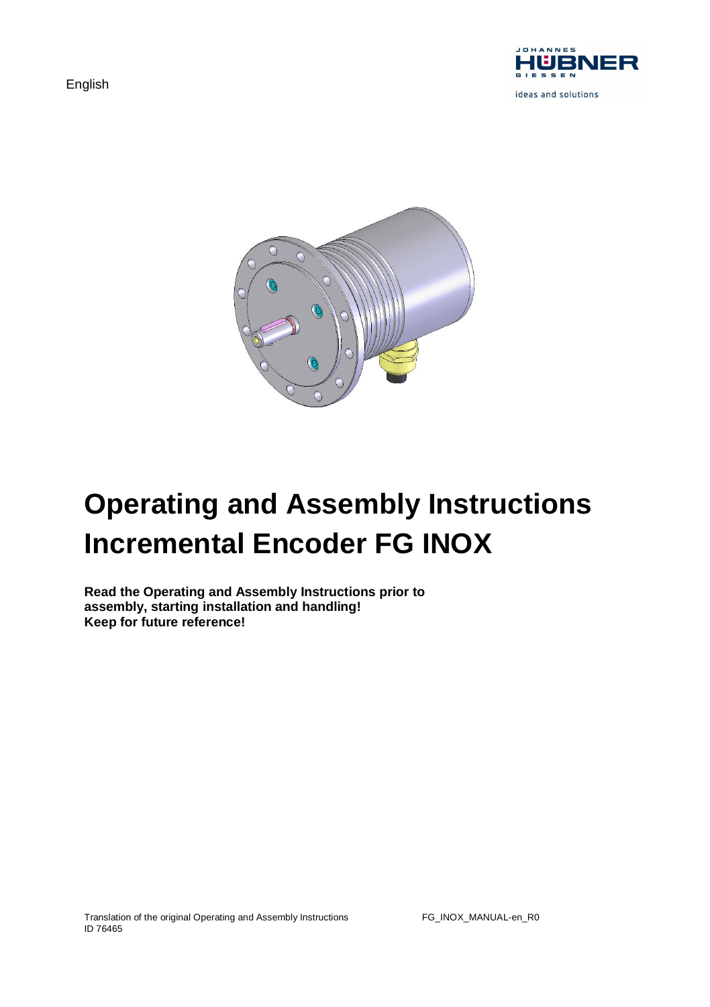English





# **Operating and Assembly Instructions Incremental Encoder FG INOX**

**Read the Operating and Assembly Instructions prior to assembly, starting installation and handling! Keep for future reference!**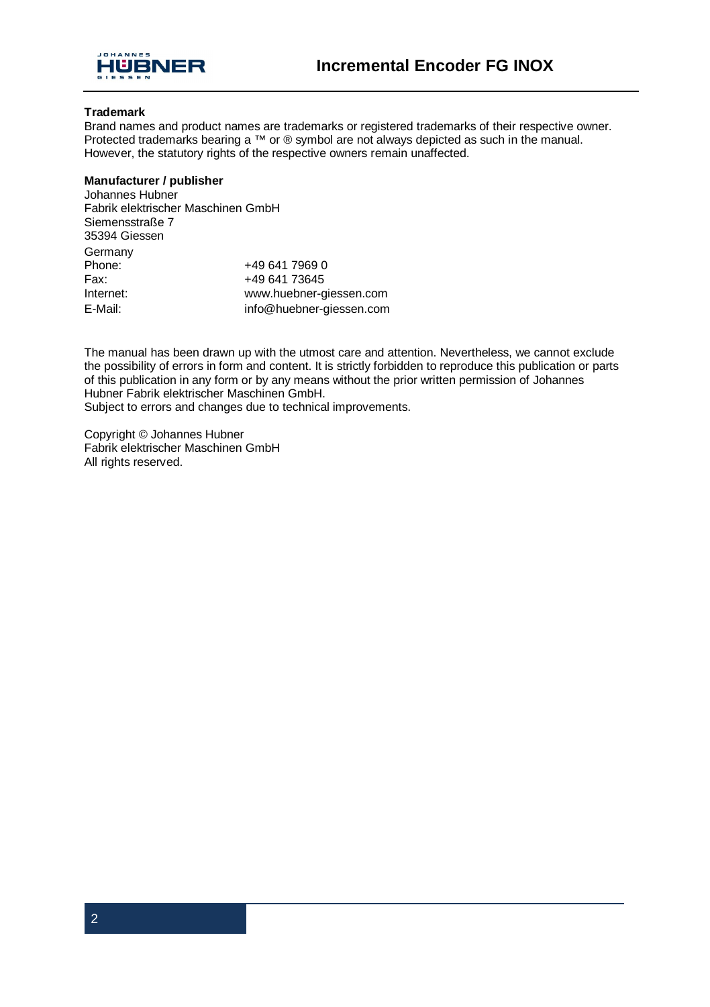

#### **Trademark**

Brand names and product names are trademarks or registered trademarks of their respective owner. Protected trademarks bearing a ™ or ® symbol are not always depicted as such in the manual. However, the statutory rights of the respective owners remain unaffected.

#### **Manufacturer / publisher**

| Johannes Hubner                    |                          |  |  |  |
|------------------------------------|--------------------------|--|--|--|
| Fabrik elektrischer Maschinen GmbH |                          |  |  |  |
| Siemensstraße 7                    |                          |  |  |  |
| 35394 Giessen                      |                          |  |  |  |
| Germany                            |                          |  |  |  |
| Phone:                             | +49 641 7969 0           |  |  |  |
| Fax:                               | +49 641 73645            |  |  |  |
| Internet:                          | www.huebner-giessen.com  |  |  |  |
| E-Mail:                            | info@huebner-giessen.com |  |  |  |

The manual has been drawn up with the utmost care and attention. Nevertheless, we cannot exclude the possibility of errors in form and content. It is strictly forbidden to reproduce this publication or parts of this publication in any form or by any means without the prior written permission of Johannes Hubner Fabrik elektrischer Maschinen GmbH. Subject to errors and changes due to technical improvements.

Copyright © Johannes Hubner Fabrik elektrischer Maschinen GmbH All rights reserved.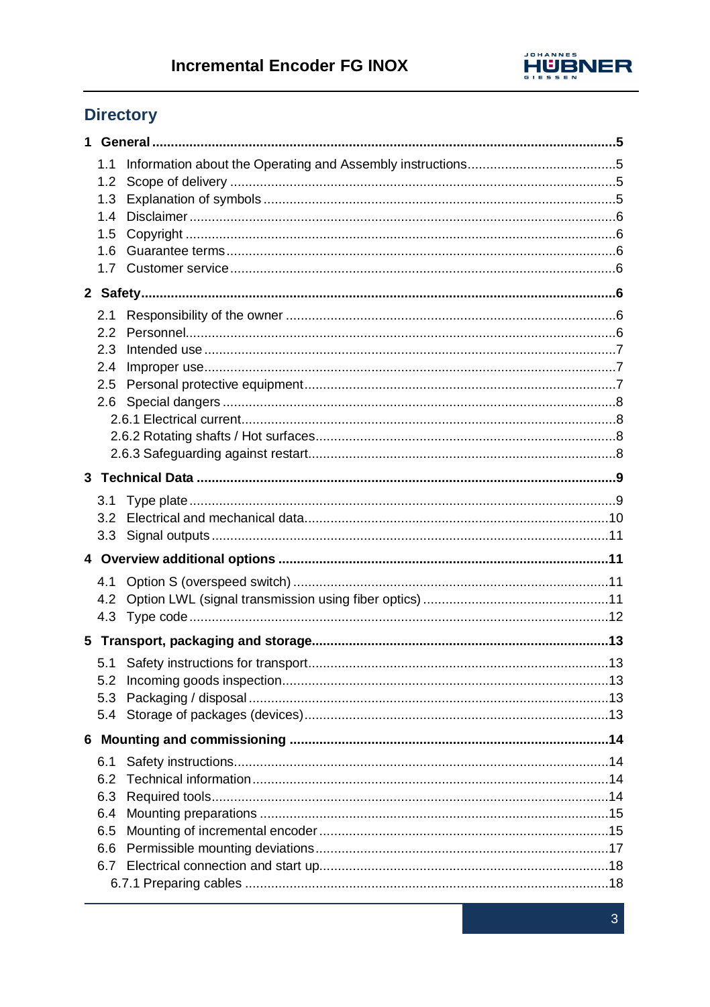

# **Directory**

| 1 |                                               |  |
|---|-----------------------------------------------|--|
|   | 1.1<br>1.2<br>1.3<br>1.4<br>1.5<br>1.6<br>1.7 |  |
|   |                                               |  |
|   | 2.1<br>2.2<br>2.3<br>2.4<br>2.6               |  |
|   |                                               |  |
|   | 3.1<br>3.2<br>3.3                             |  |
|   |                                               |  |
|   | 4.1<br>4.2                                    |  |
|   |                                               |  |
|   | 5.1<br>5.2<br>5.3<br>5.4                      |  |
|   |                                               |  |
|   | 6.1<br>6.2<br>6.3<br>6.4<br>6.5<br>6.6<br>6.7 |  |
|   |                                               |  |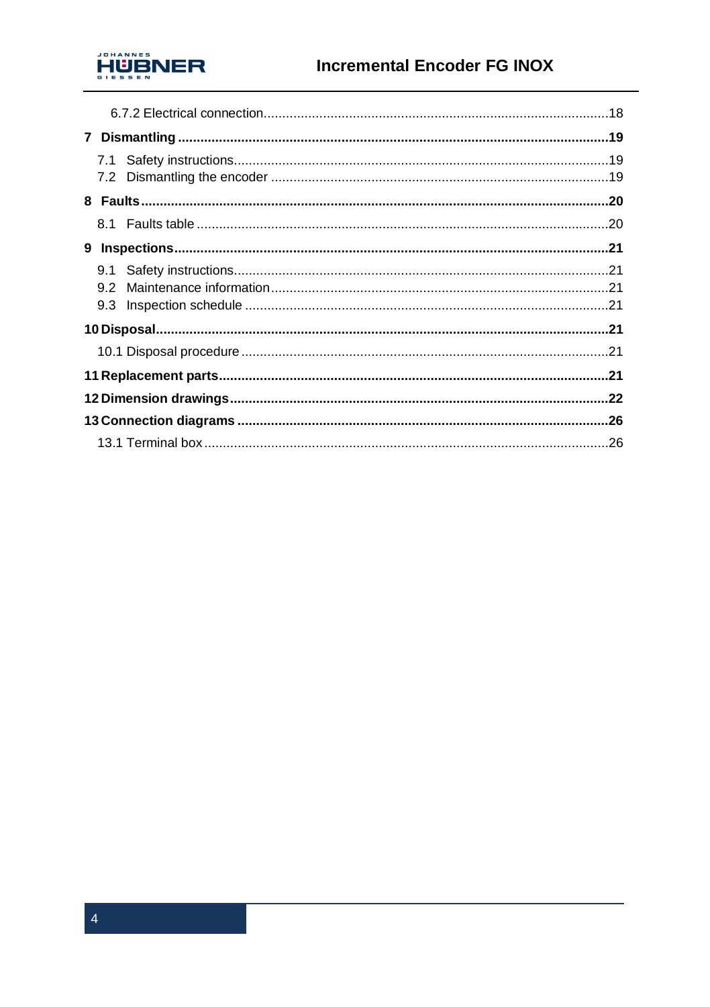

| 9.1 |  |
|-----|--|
| 9.2 |  |
| 9.3 |  |
|     |  |
|     |  |
|     |  |
|     |  |
|     |  |
|     |  |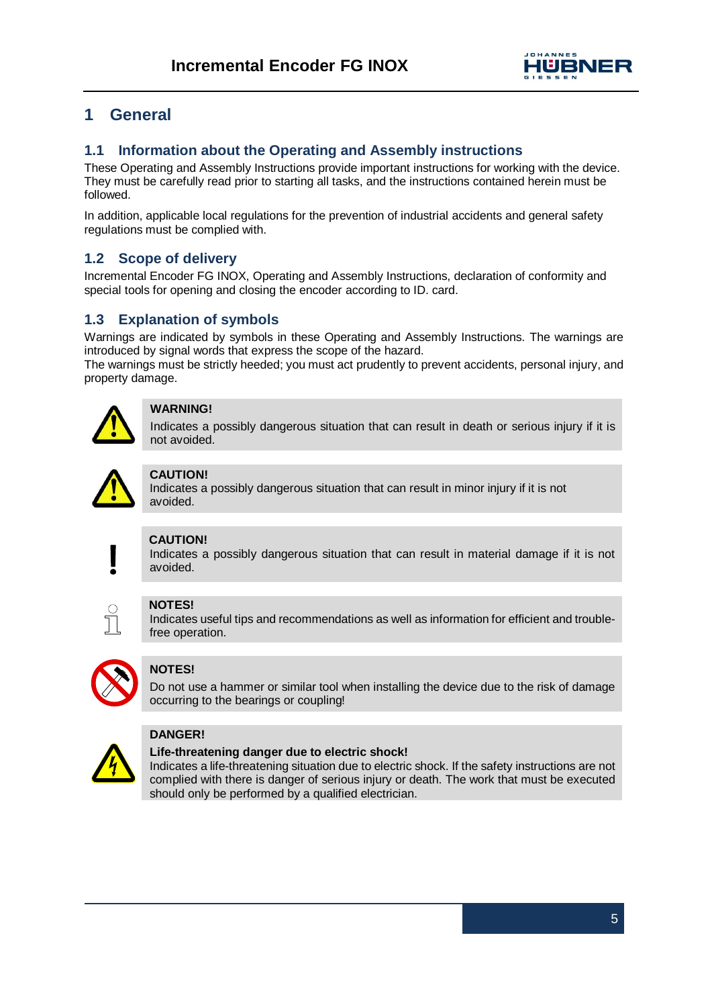

# **1 General**

# **1.1 Information about the Operating and Assembly instructions**

These Operating and Assembly Instructions provide important instructions for working with the device. They must be carefully read prior to starting all tasks, and the instructions contained herein must be followed.

In addition, applicable local regulations for the prevention of industrial accidents and general safety regulations must be complied with.

# **1.2 Scope of delivery**

Incremental Encoder FG INOX, Operating and Assembly Instructions, declaration of conformity and special tools for opening and closing the encoder according to ID. card.

# **1.3 Explanation of symbols**

Warnings are indicated by symbols in these Operating and Assembly Instructions. The warnings are introduced by signal words that express the scope of the hazard.

The warnings must be strictly heeded; you must act prudently to prevent accidents, personal injury, and property damage.



# **WARNING!**

Indicates a possibly dangerous situation that can result in death or serious injury if it is not avoided.



#### **CAUTION!**

Indicates a possibly dangerous situation that can result in minor injury if it is not avoided.

## **CAUTION!**

Indicates a possibly dangerous situation that can result in material damage if it is not avoided.

# **NOTES!**

Indicates useful tips and recommendations as well as information for efficient and troublefree operation.



## **NOTES!**

Do not use a hammer or similar tool when installing the device due to the risk of damage occurring to the bearings or coupling!



#### **DANGER!**

**Life-threatening danger due to electric shock!**

Indicates a life-threatening situation due to electric shock. If the safety instructions are not complied with there is danger of serious injury or death. The work that must be executed should only be performed by a qualified electrician.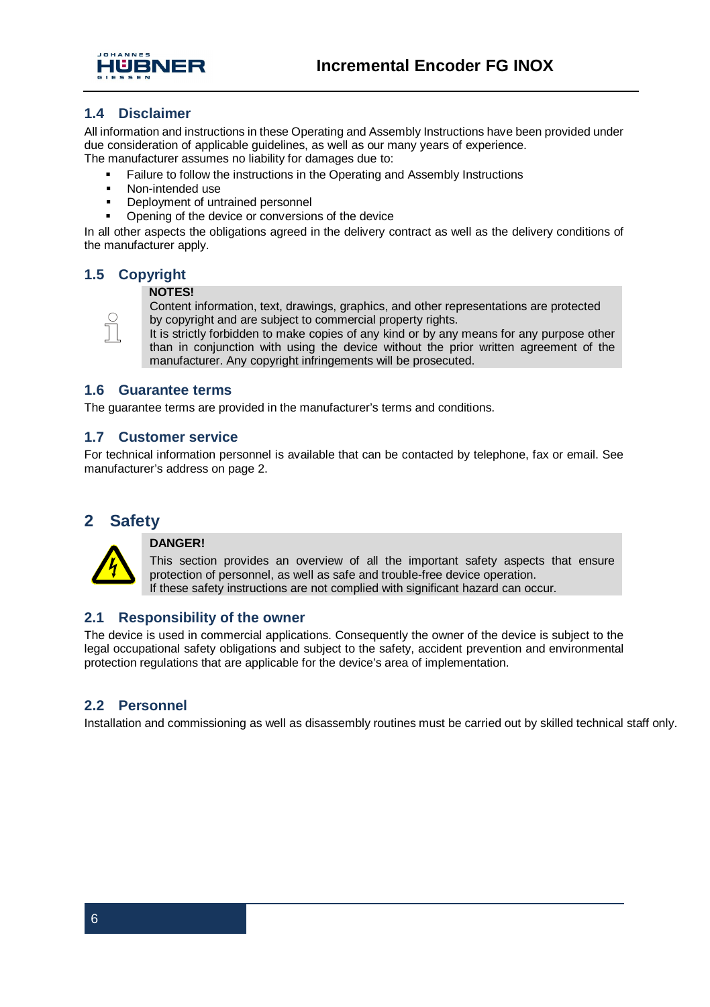



# **1.4 Disclaimer**

All information and instructions in these Operating and Assembly Instructions have been provided under due consideration of applicable guidelines, as well as our many years of experience. The manufacturer assumes no liability for damages due to:

Failure to follow the instructions in the Operating and Assembly Instructions

- § Non-intended use
- § Deployment of untrained personnel
- § Opening of the device or conversions of the device

In all other aspects the obligations agreed in the delivery contract as well as the delivery conditions of the manufacturer apply.

# **1.5 Copyright**

 $rac{C}{1}$ 

#### **NOTES!**

Content information, text, drawings, graphics, and other representations are protected by copyright and are subject to commercial property rights.

It is strictly forbidden to make copies of any kind or by any means for any purpose other than in conjunction with using the device without the prior written agreement of the manufacturer. Any copyright infringements will be prosecuted.

## **1.6 Guarantee terms**

The guarantee terms are provided in the manufacturer's terms and conditions.

## **1.7 Customer service**

For technical information personnel is available that can be contacted by telephone, fax or email. See manufacturer's address on page 2.

# **2 Safety**



#### **DANGER!**

This section provides an overview of all the important safety aspects that ensure protection of personnel, as well as safe and trouble-free device operation. If these safety instructions are not complied with significant hazard can occur.

## **2.1 Responsibility of the owner**

The device is used in commercial applications. Consequently the owner of the device is subject to the legal occupational safety obligations and subject to the safety, accident prevention and environmental protection regulations that are applicable for the device's area of implementation.

## **2.2 Personnel**

Installation and commissioning as well as disassembly routines must be carried out by skilled technical staff only.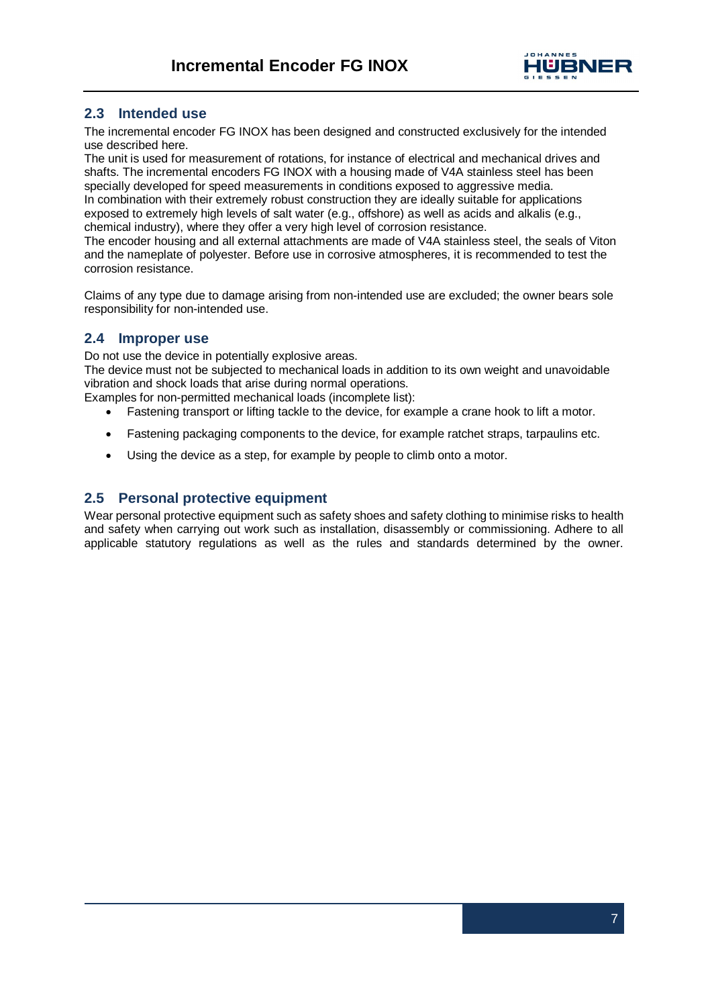

# **2.3 Intended use**

The incremental encoder FG INOX has been designed and constructed exclusively for the intended use described here.

The unit is used for measurement of rotations, for instance of electrical and mechanical drives and shafts. The incremental encoders FG INOX with a housing made of V4A stainless steel has been specially developed for speed measurements in conditions exposed to aggressive media. In combination with their extremely robust construction they are ideally suitable for applications exposed to extremely high levels of salt water (e.g., offshore) as well as acids and alkalis (e.g., chemical industry), where they offer a very high level of corrosion resistance.

The encoder housing and all external attachments are made of V4A stainless steel, the seals of Viton and the nameplate of polyester. Before use in corrosive atmospheres, it is recommended to test the corrosion resistance.

Claims of any type due to damage arising from non-intended use are excluded; the owner bears sole responsibility for non-intended use.

# **2.4 Improper use**

Do not use the device in potentially explosive areas.

The device must not be subjected to mechanical loads in addition to its own weight and unavoidable vibration and shock loads that arise during normal operations.

Examples for non-permitted mechanical loads (incomplete list):

- · Fastening transport or lifting tackle to the device, for example a crane hook to lift a motor.
- · Fastening packaging components to the device, for example ratchet straps, tarpaulins etc.
- · Using the device as a step, for example by people to climb onto a motor.

## **2.5 Personal protective equipment**

Wear personal protective equipment such as safety shoes and safety clothing to minimise risks to health and safety when carrying out work such as installation, disassembly or commissioning. Adhere to all applicable statutory regulations as well as the rules and standards determined by the owner.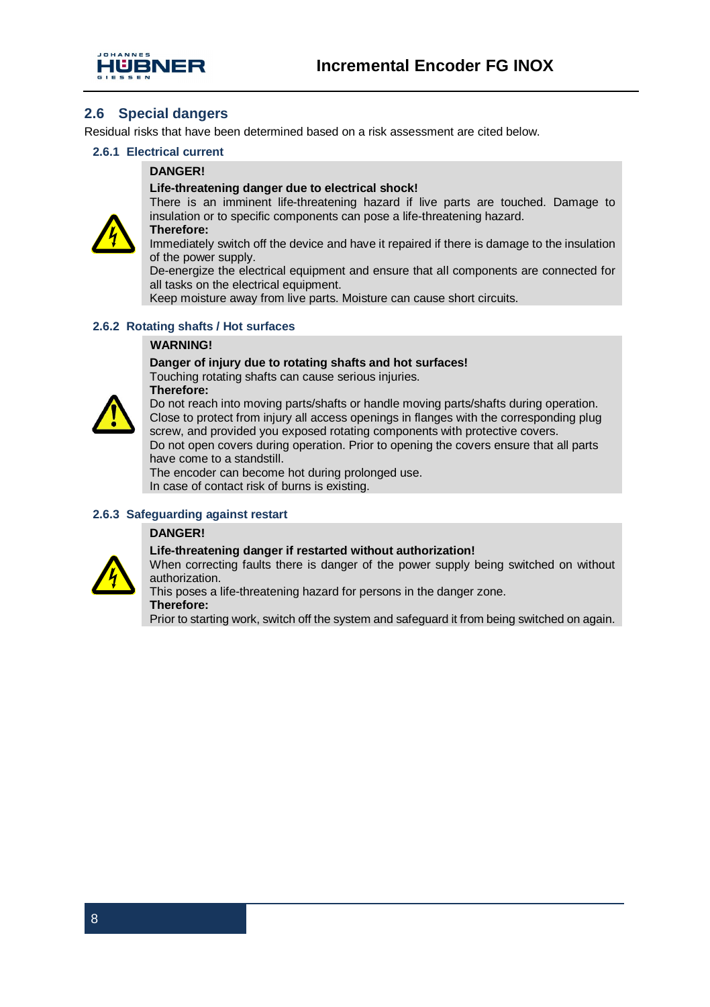

# **2.6 Special dangers**

Residual risks that have been determined based on a risk assessment are cited below.

#### **2.6.1 Electrical current**

#### **DANGER!**

#### **Life-threatening danger due to electrical shock!**



insulation or to specific components can pose a life-threatening hazard.

Immediately switch off the device and have it repaired if there is damage to the insulation of the power supply.

De-energize the electrical equipment and ensure that all components are connected for all tasks on the electrical equipment.

Keep moisture away from live parts. Moisture can cause short circuits.

#### **2.6.2 Rotating shafts / Hot surfaces**

#### **WARNING!**

#### **Danger of injury due to rotating shafts and hot surfaces!**

Touching rotating shafts can cause serious injuries. **Therefore:**



Do not reach into moving parts/shafts or handle moving parts/shafts during operation. Close to protect from injury all access openings in flanges with the corresponding plug screw, and provided you exposed rotating components with protective covers. Do not open covers during operation. Prior to opening the covers ensure that all parts have come to a standstill.

The encoder can become hot during prolonged use. In case of contact risk of burns is existing.

# **2.6.3 Safeguarding against restart**

#### **DANGER!**



**Life-threatening danger if restarted without authorization!** When correcting faults there is danger of the power supply being switched on without authorization.

This poses a life-threatening hazard for persons in the danger zone.

#### **Therefore:**

Prior to starting work, switch off the system and safeguard it from being switched on again.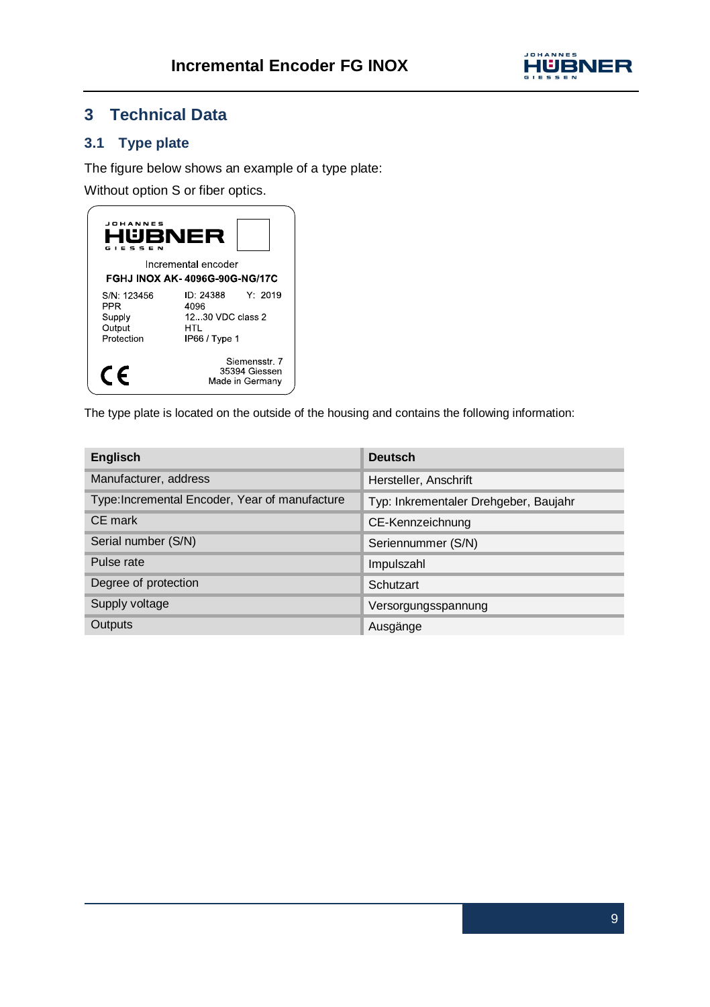

# **3 Technical Data**

# **3.1 Type plate**

The figure below shows an example of a type plate:

Without option S or fiber optics.



The type plate is located on the outside of the housing and contains the following information:

| Englisch                                       | Deutsch                               |
|------------------------------------------------|---------------------------------------|
| Manufacturer, address                          | Hersteller, Anschrift                 |
| Type: Incremental Encoder, Year of manufacture | Typ: Inkrementaler Drehgeber, Baujahr |
| CE mark                                        | CE-Kennzeichnung                      |
| Serial number (S/N)                            | Seriennummer (S/N)                    |
| Pulse rate                                     | Impulszahl                            |
| Degree of protection                           | Schutzart                             |
| Supply voltage                                 | Versorgungsspannung                   |
| Outputs                                        | Ausgänge                              |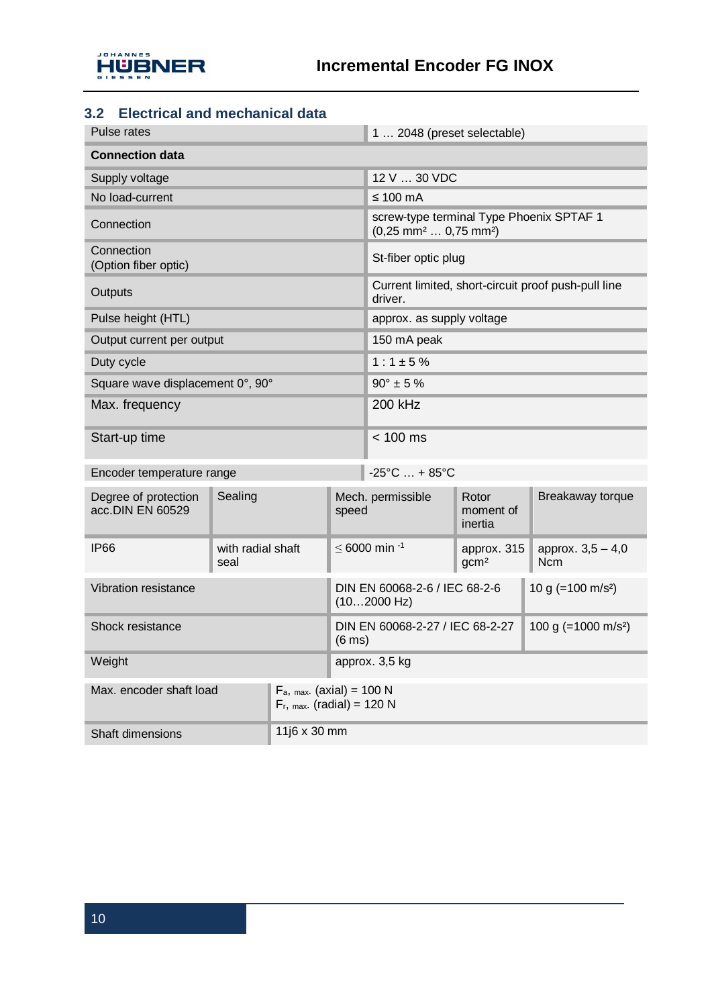

# **3.2 Electrical and mechanical data**

| Pulse rates                              |                           |                                                               |                                                                       | 1  2048 (preset selectable)                                                                |                                 |                                   |  |  |
|------------------------------------------|---------------------------|---------------------------------------------------------------|-----------------------------------------------------------------------|--------------------------------------------------------------------------------------------|---------------------------------|-----------------------------------|--|--|
| <b>Connection data</b>                   |                           |                                                               |                                                                       |                                                                                            |                                 |                                   |  |  |
| Supply voltage                           |                           |                                                               | 12 V  30 VDC                                                          |                                                                                            |                                 |                                   |  |  |
| No load-current                          |                           |                                                               |                                                                       | $\leq 100$ mA                                                                              |                                 |                                   |  |  |
| Connection                               |                           |                                                               |                                                                       | screw-type terminal Type Phoenix SPTAF 1<br>$(0,25$ mm <sup>2</sup> 0,75 mm <sup>2</sup> ) |                                 |                                   |  |  |
| Connection<br>(Option fiber optic)       |                           |                                                               |                                                                       |                                                                                            | St-fiber optic plug             |                                   |  |  |
| Outputs                                  |                           |                                                               |                                                                       | Current limited, short-circuit proof push-pull line<br>driver.                             |                                 |                                   |  |  |
| Pulse height (HTL)                       |                           |                                                               |                                                                       | approx. as supply voltage                                                                  |                                 |                                   |  |  |
| Output current per output                |                           |                                                               |                                                                       | 150 mA peak                                                                                |                                 |                                   |  |  |
| Duty cycle                               |                           |                                                               |                                                                       | $1:1 \pm 5\%$                                                                              |                                 |                                   |  |  |
| Square wave displacement 0°, 90°         |                           |                                                               |                                                                       | $90^{\circ}$ ± 5 %                                                                         |                                 |                                   |  |  |
| Max. frequency                           |                           |                                                               |                                                                       | 200 kHz                                                                                    |                                 |                                   |  |  |
| Start-up time                            |                           |                                                               |                                                                       | $< 100$ ms                                                                                 |                                 |                                   |  |  |
| Encoder temperature range                |                           |                                                               |                                                                       | $-25^{\circ}$ C  + 85 $^{\circ}$ C                                                         |                                 |                                   |  |  |
| Degree of protection<br>acc.DIN EN 60529 | Sealing                   |                                                               | speed                                                                 | Mech. permissible                                                                          | Rotor<br>moment of<br>inertia   | Breakaway torque                  |  |  |
| <b>IP66</b>                              | with radial shaft<br>seal |                                                               |                                                                       | $\leq 6000$ min $^{-1}$                                                                    | approx. 315<br>gcm <sup>2</sup> | approx. $3,5 - 4,0$<br><b>Ncm</b> |  |  |
| Vibration resistance                     |                           |                                                               |                                                                       | 10 g (=100 m/s <sup>2</sup> )<br>DIN EN 60068-2-6 / IEC 68-2-6<br>(102000 Hz)              |                                 |                                   |  |  |
| Shock resistance<br>$(6 \text{ ms})$     |                           |                                                               | 100 g (= $1000$ m/s <sup>2</sup> )<br>DIN EN 60068-2-27 / IEC 68-2-27 |                                                                                            |                                 |                                   |  |  |
| Weight                                   |                           |                                                               | approx. 3,5 kg                                                        |                                                                                            |                                 |                                   |  |  |
| Max. encoder shaft load                  |                           | $F_a$ , max. (axial) = 100 N<br>$F_r$ , max. (radial) = 120 N |                                                                       |                                                                                            |                                 |                                   |  |  |
| <b>Shaft dimensions</b>                  |                           | 11j6 x 30 mm                                                  |                                                                       |                                                                                            |                                 |                                   |  |  |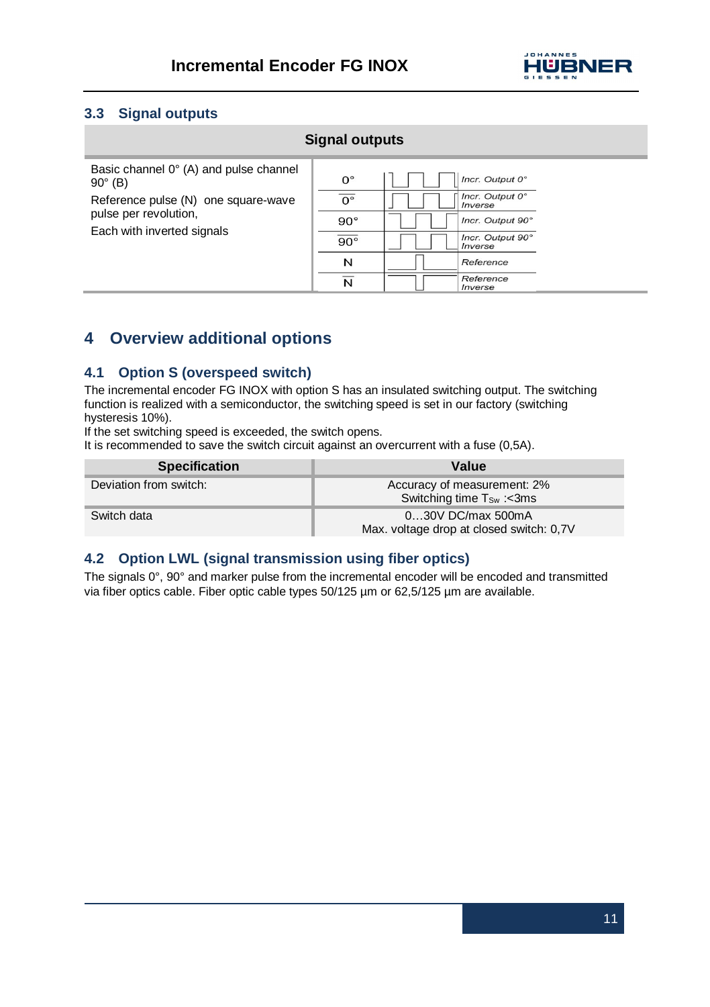

# **3.3 Signal outputs**

## **Signal outputs**

| Basic channel 0° (A) and pulse channel<br>$90^\circ$ (B)<br>Reference pulse (N) one square-wave<br>pulse per revolution,<br>Each with inverted signals | $0^{\circ}$<br>n°<br>$90^\circ$<br>___<br>$90^\circ$<br>N | Incr. Output 0°<br>Incr. Output 0°<br>Inverse<br>Incr. Output 90°<br>Incr. Output 90°<br>Inverse<br>Reference<br>Reference |
|--------------------------------------------------------------------------------------------------------------------------------------------------------|-----------------------------------------------------------|----------------------------------------------------------------------------------------------------------------------------|
|                                                                                                                                                        | N                                                         | Inverse                                                                                                                    |
|                                                                                                                                                        |                                                           |                                                                                                                            |

# **4 Overview additional options**

# **4.1 Option S (overspeed switch)**

The incremental encoder FG INOX with option S has an insulated switching output. The switching function is realized with a semiconductor, the switching speed is set in our factory (switching hysteresis 10%).

If the set switching speed is exceeded, the switch opens.

It is recommended to save the switch circuit against an overcurrent with a fuse (0,5A).

| <b>Specification</b>   | Value                                                                |
|------------------------|----------------------------------------------------------------------|
| Deviation from switch: | Accuracy of measurement: 2%<br>Switching time T <sub>Sw</sub> : <3ms |
| Switch data            | $030V$ DC/max 500mA<br>Max. voltage drop at closed switch: 0,7V      |

# **4.2 Option LWL (signal transmission using fiber optics)**

The signals 0°, 90° and marker pulse from the incremental encoder will be encoded and transmitted via fiber optics cable. Fiber optic cable types 50/125 µm or 62,5/125 µm are available.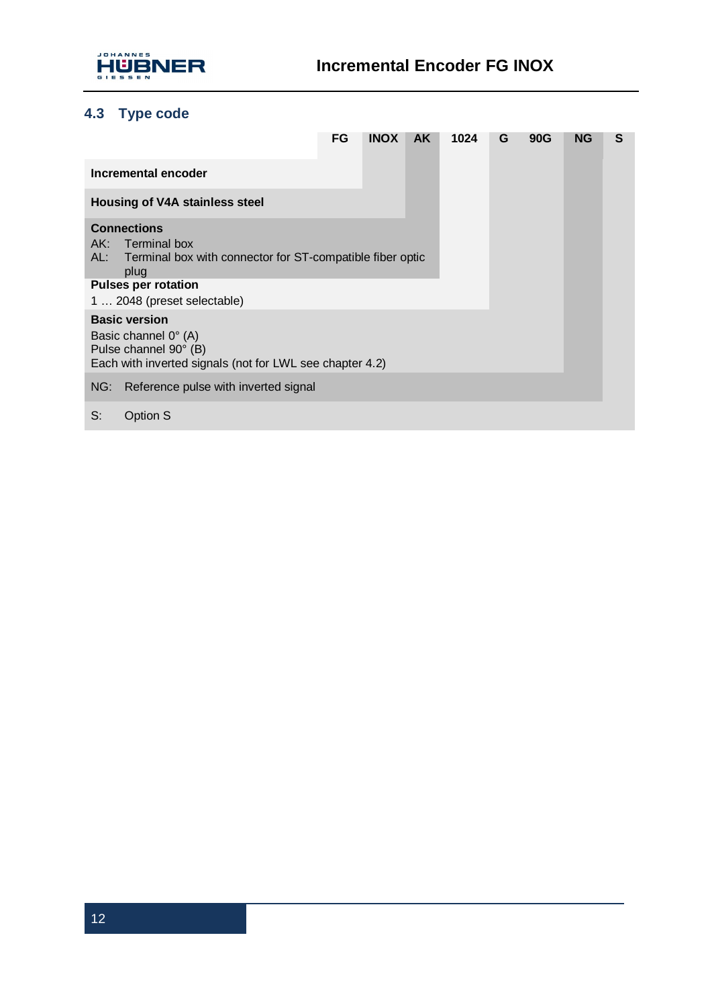

# **4.3 Type code**

|                                                                                                                                               | FG | <b>INOX</b> | AK. | 1024 | G | 90G | ΝG | s |
|-----------------------------------------------------------------------------------------------------------------------------------------------|----|-------------|-----|------|---|-----|----|---|
| Incremental encoder                                                                                                                           |    |             |     |      |   |     |    |   |
| Housing of V4A stainless steel                                                                                                                |    |             |     |      |   |     |    |   |
| <b>Connections</b><br>AK: Terminal box<br>AL: Terminal box with connector for ST-compatible fiber optic<br>plug<br><b>Pulses per rotation</b> |    |             |     |      |   |     |    |   |
| 1  2048 (preset selectable)                                                                                                                   |    |             |     |      |   |     |    |   |
| <b>Basic version</b><br>Basic channel 0° (A)<br>Pulse channel 90° (B)<br>Each with inverted signals (not for LWL see chapter 4.2)             |    |             |     |      |   |     |    |   |
| Reference pulse with inverted signal<br>NG:                                                                                                   |    |             |     |      |   |     |    |   |
| S:<br>Option S                                                                                                                                |    |             |     |      |   |     |    |   |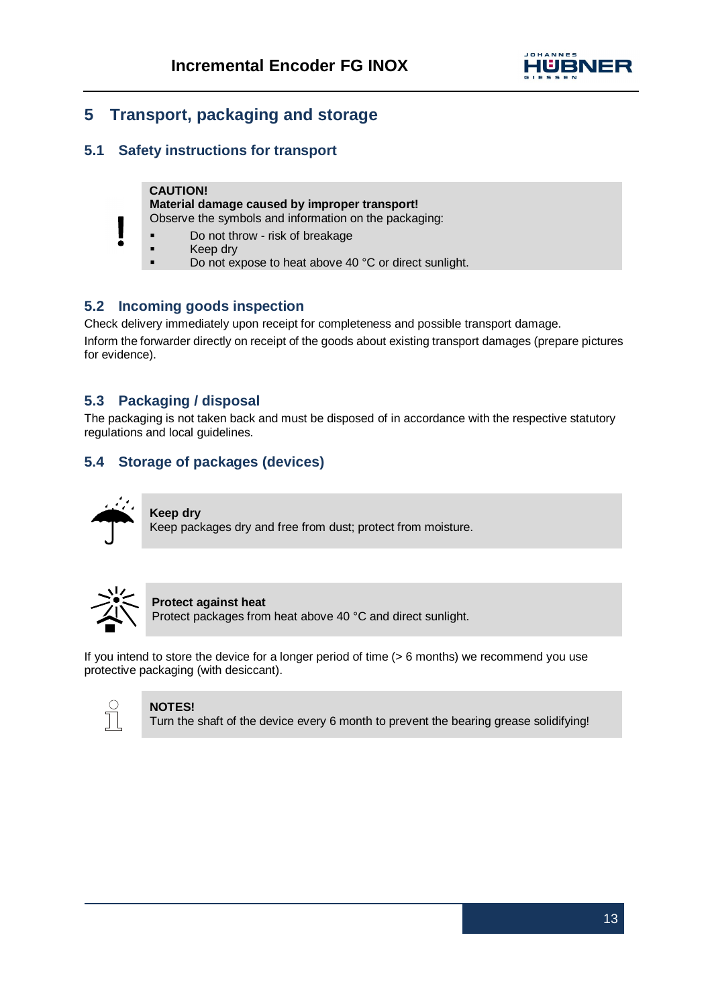

# **5 Transport, packaging and storage**

# **5.1 Safety instructions for transport**

#### **CAUTION! Material damage caused by improper transport!** Observe the symbols and information on the packaging:

- § Do not throw risk of breakage
- Keep dry
- Do not expose to heat above 40 °C or direct sunlight.

# **5.2 Incoming goods inspection**

Check delivery immediately upon receipt for completeness and possible transport damage.

Inform the forwarder directly on receipt of the goods about existing transport damages (prepare pictures for evidence).

# **5.3 Packaging / disposal**

The packaging is not taken back and must be disposed of in accordance with the respective statutory regulations and local guidelines.

# **5.4 Storage of packages (devices)**



**Keep dry** Keep packages dry and free from dust; protect from moisture.



#### **Protect against heat**

Protect packages from heat above 40 °C and direct sunlight.

If you intend to store the device for a longer period of time (> 6 months) we recommend you use protective packaging (with desiccant).



# **NOTES!**

Turn the shaft of the device every 6 month to prevent the bearing grease solidifying!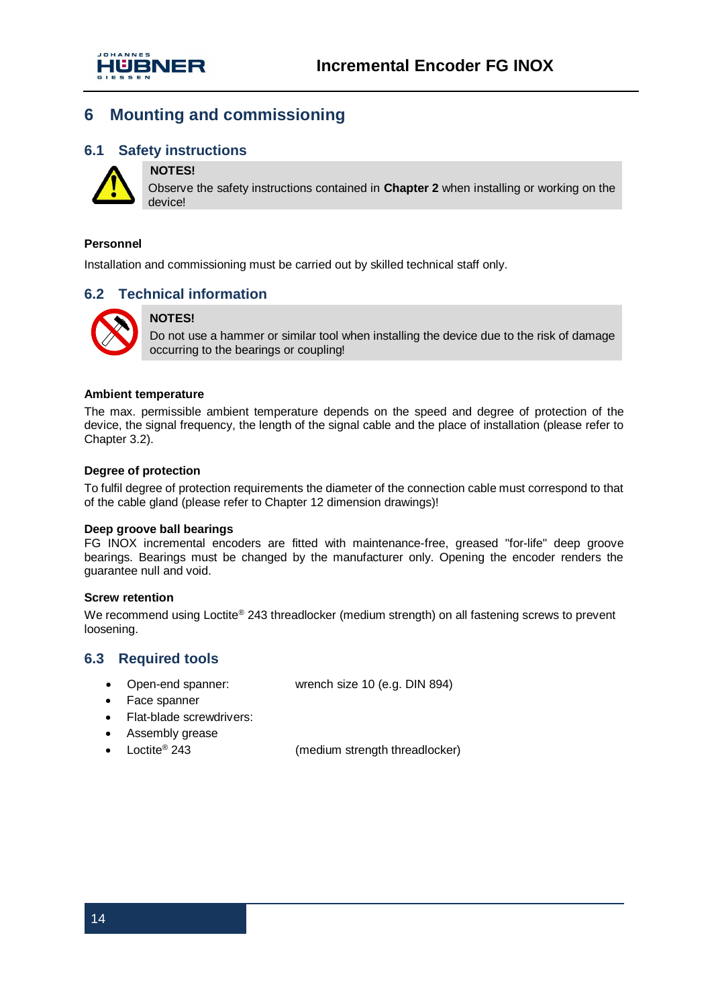

# **6 Mounting and commissioning**

# **6.1 Safety instructions NOTES!**



Observe the safety instructions contained in **Chapter 2** when installing or working on the device!

#### **Personnel**

Installation and commissioning must be carried out by skilled technical staff only.

## **6.2 Technical information**



#### **NOTES!**

Do not use a hammer or similar tool when installing the device due to the risk of damage occurring to the bearings or coupling!

#### **Ambient temperature**

The max. permissible ambient temperature depends on the speed and degree of protection of the device, the signal frequency, the length of the signal cable and the place of installation (please refer to Chapter 3.2).

#### **Degree of protection**

To fulfil degree of protection requirements the diameter of the connection cable must correspond to that of the cable gland (please refer to Chapter 12 dimension drawings)!

#### **Deep groove ball bearings**

FG INOX incremental encoders are fitted with maintenance-free, greased "for-life" deep groove bearings. Bearings must be changed by the manufacturer only. Opening the encoder renders the guarantee null and void.

#### **Screw retention**

We recommend using Loctite® 243 threadlocker (medium strength) on all fastening screws to prevent loosening.

## **6.3 Required tools**

- · Open-end spanner: wrench size 10 (e.g. DIN 894)
- · Face spanner
- Flat-blade screwdrivers:
- · Assembly grease
- Loctite® 243

(medium strength threadlocker)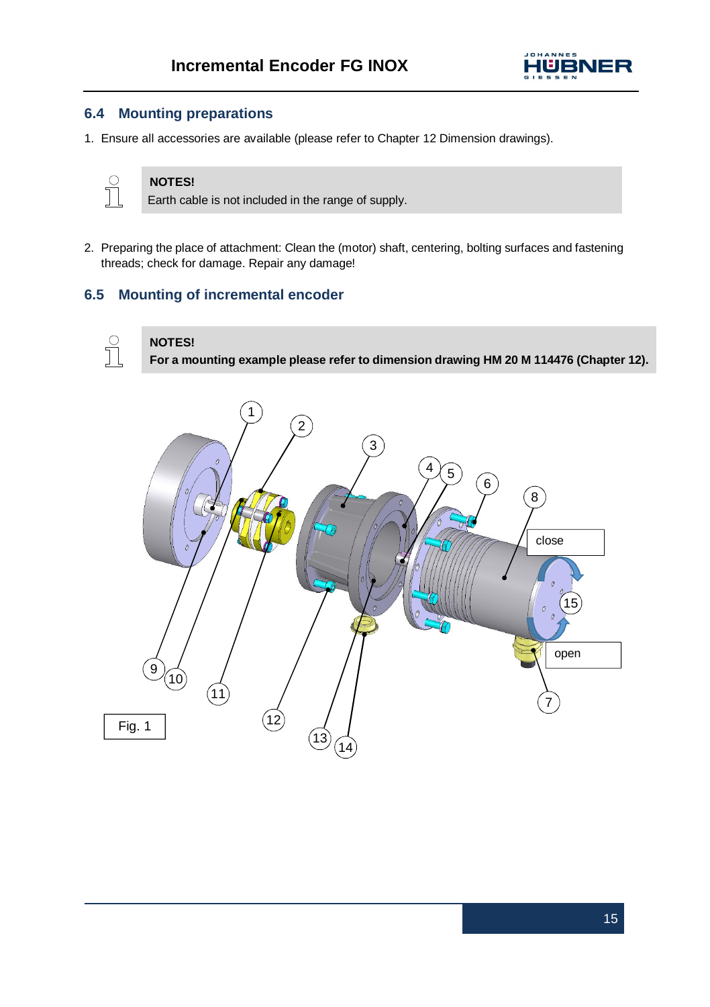

# **6.4 Mounting preparations**

1. Ensure all accessories are available (please refer to Chapter 12 Dimension drawings).



# **NOTES!**

**NOTES!**

Earth cable is not included in the range of supply.

2. Preparing the place of attachment: Clean the (motor) shaft, centering, bolting surfaces and fastening threads; check for damage. Repair any damage!

# **6.5 Mounting of incremental encoder**

# $\int_{0}^{0}$

**For a mounting example please refer to dimension drawing HM 20 M 114476 (Chapter 12).**

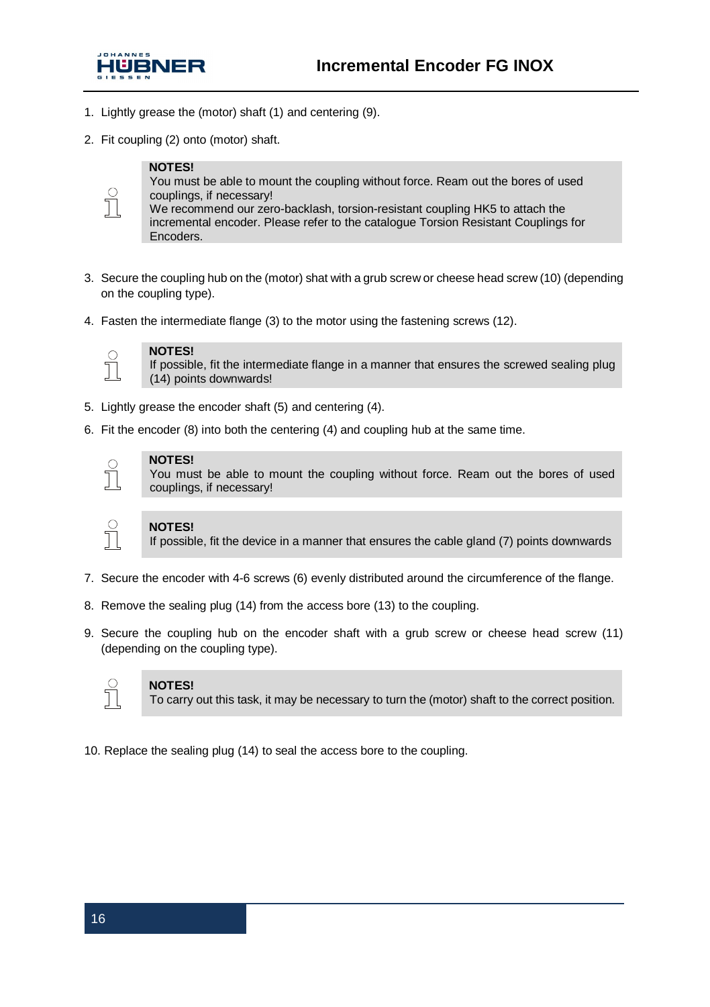

- 1. Lightly grease the (motor) shaft (1) and centering (9).
- 2. Fit coupling (2) onto (motor) shaft.

#### **NOTES!**



You must be able to mount the coupling without force. Ream out the bores of used couplings, if necessary!

We recommend our zero-backlash, torsion-resistant coupling HK5 to attach the incremental encoder. Please refer to the catalogue Torsion Resistant Couplings for Encoders.

- 3. Secure the coupling hub on the (motor) shat with a grub screw or cheese head screw (10) (depending on the coupling type).
- 4. Fasten the intermediate flange (3) to the motor using the fastening screws (12).



#### **NOTES!**

If possible, fit the intermediate flange in a manner that ensures the screwed sealing plug (14) points downwards!

- 5. Lightly grease the encoder shaft (5) and centering (4).
- 6. Fit the encoder (8) into both the centering (4) and coupling hub at the same time.

#### **NOTES!**

You must be able to mount the coupling without force. Ream out the bores of used couplings, if necessary!

#### **NOTES!**

If possible, fit the device in a manner that ensures the cable gland (7) points downwards

- 7. Secure the encoder with 4-6 screws (6) evenly distributed around the circumference of the flange.
- 8. Remove the sealing plug (14) from the access bore (13) to the coupling.
- 9. Secure the coupling hub on the encoder shaft with a grub screw or cheese head screw (11) (depending on the coupling type).



#### **NOTES!**

To carry out this task, it may be necessary to turn the (motor) shaft to the correct position.

10. Replace the sealing plug (14) to seal the access bore to the coupling.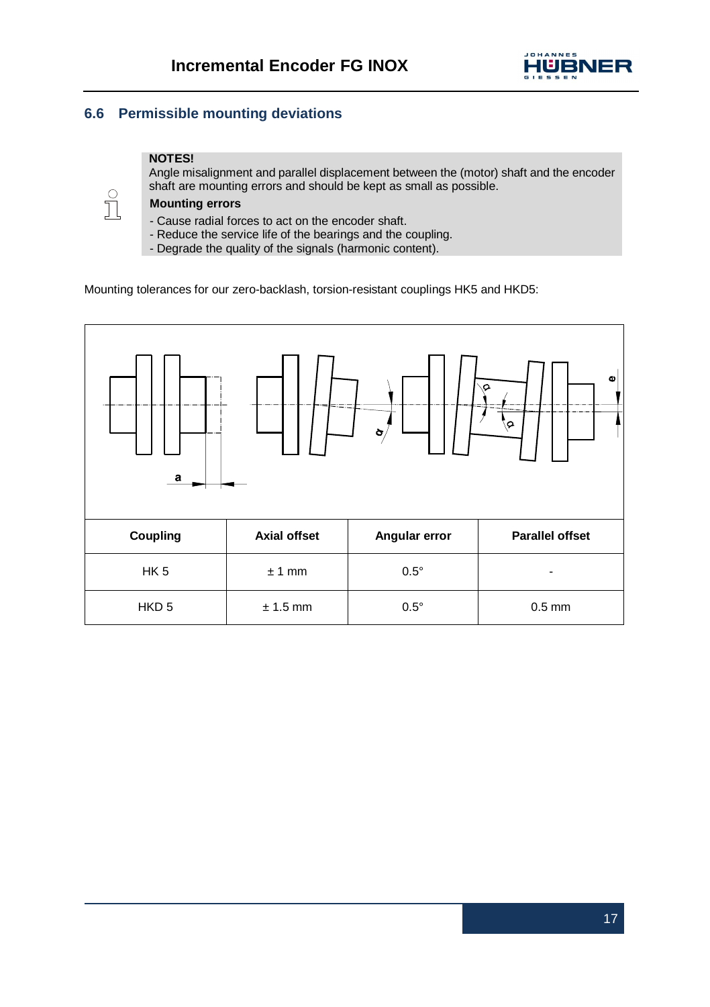

# **6.6 Permissible mounting deviations**

#### **NOTES!**

Angle misalignment and parallel displacement between the (motor) shaft and the encoder shaft are mounting errors and should be kept as small as possible.



## **Mounting errors**

- Cause radial forces to act on the encoder shaft.
- Reduce the service life of the bearings and the coupling.
- Degrade the quality of the signals (harmonic content).

Mounting tolerances for our zero-backlash, torsion-resistant couplings HK5 and HKD5:

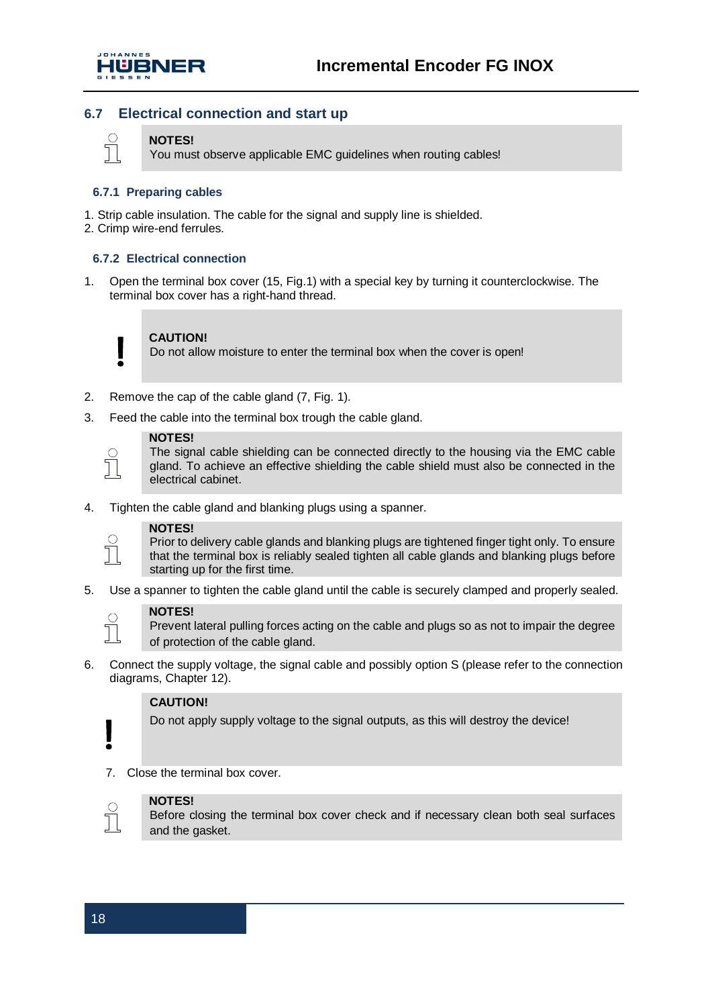

# **6.7 Electrical connection and start up**

#### **NOTES!**

Т

You must observe applicable EMC guidelines when routing cables!

#### **6.7.1 Preparing cables**

- 1. Strip cable insulation. The cable for the signal and supply line is shielded.
- 2. Crimp wire-end ferrules.

#### **6.7.2 Electrical connection**

1. Open the terminal box cover (15, Fig.1) with a special key by turning it counterclockwise. The terminal box cover has a right-hand thread.



#### **CAUTION!**

Do not allow moisture to enter the terminal box when the cover is open!

- 2. Remove the cap of the cable gland (7, Fig. 1).
- 3. Feed the cable into the terminal box trough the cable gland.



## **NOTES!**

The signal cable shielding can be connected directly to the housing via the EMC cable gland. To achieve an effective shielding the cable shield must also be connected in the electrical cabinet.

4. Tighten the cable gland and blanking plugs using a spanner.



#### **NOTES!**

Prior to delivery cable glands and blanking plugs are tightened finger tight only. To ensure that the terminal box is reliably sealed tighten all cable glands and blanking plugs before starting up for the first time.

5. Use a spanner to tighten the cable gland until the cable is securely clamped and properly sealed.



#### **NOTES!**

Prevent lateral pulling forces acting on the cable and plugs so as not to impair the degree of protection of the cable gland.

6. Connect the supply voltage, the signal cable and possibly option S (please refer to the connection diagrams, Chapter 12).

#### **CAUTION!**

Do not apply supply voltage to the signal outputs, as this will destroy the device!

7. Close the terminal box cover.



### **NOTES!**

Before closing the terminal box cover check and if necessary clean both seal surfaces and the gasket.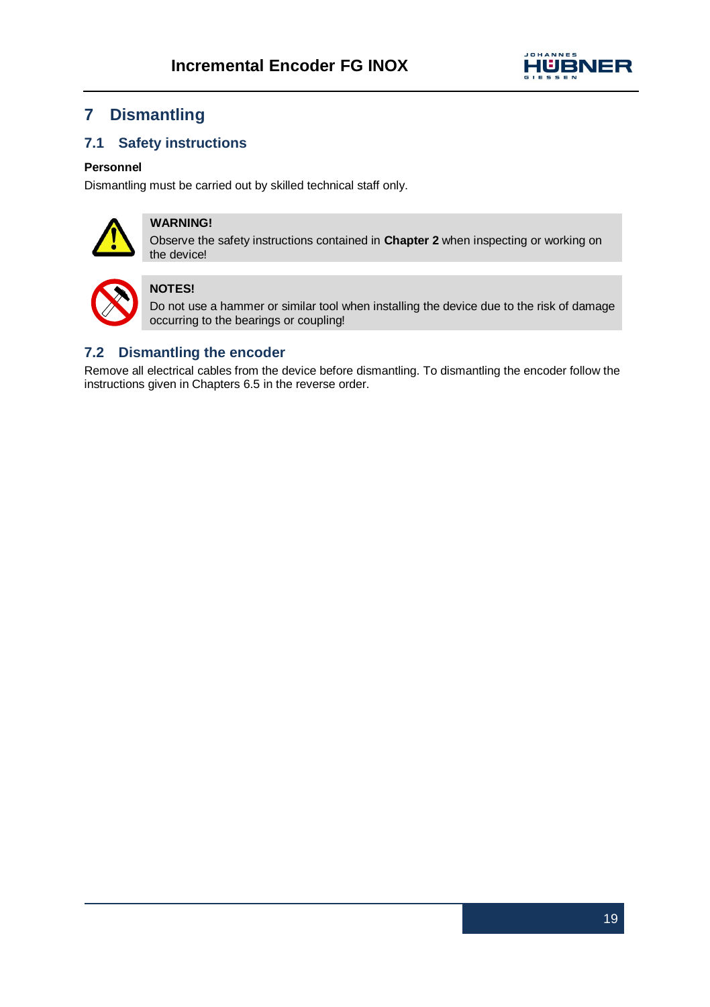

# **7 Dismantling**

# **7.1 Safety instructions**

## **Personnel**

Dismantling must be carried out by skilled technical staff only.



# **WARNING!**

Observe the safety instructions contained in **Chapter 2** when inspecting or working on the device!



# **NOTES!**

Do not use a hammer or similar tool when installing the device due to the risk of damage occurring to the bearings or coupling!

# **7.2 Dismantling the encoder**

Remove all electrical cables from the device before dismantling. To dismantling the encoder follow the instructions given in Chapters 6.5 in the reverse order.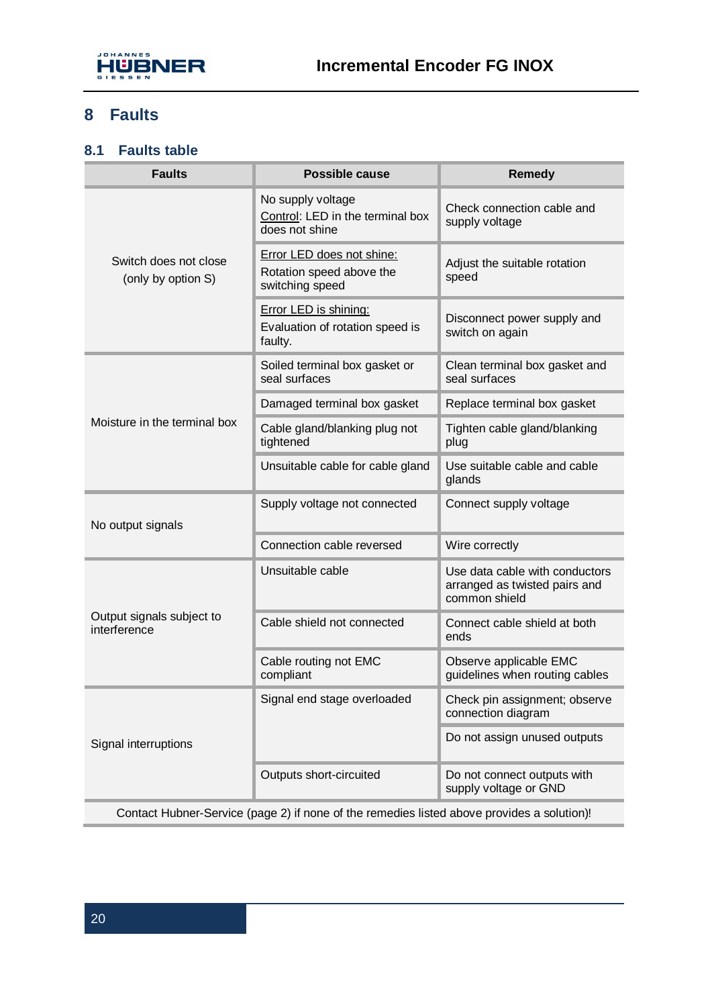

# **8 Faults**

# **8.1 Faults table**

| <b>Faults</b>                                                                              | Possible cause                                                           | Remedy                                                                           |  |
|--------------------------------------------------------------------------------------------|--------------------------------------------------------------------------|----------------------------------------------------------------------------------|--|
| Switch does not close<br>(only by option S)                                                | No supply voltage<br>Control: LED in the terminal box<br>does not shine  | Check connection cable and<br>supply voltage                                     |  |
|                                                                                            | Error LED does not shine:<br>Rotation speed above the<br>switching speed | Adjust the suitable rotation<br>speed                                            |  |
|                                                                                            | Error LED is shining:<br>Evaluation of rotation speed is<br>faulty.      | Disconnect power supply and<br>switch on again                                   |  |
| Moisture in the terminal box                                                               | Soiled terminal box gasket or<br>seal surfaces                           | Clean terminal box gasket and<br>seal surfaces                                   |  |
|                                                                                            | Damaged terminal box gasket                                              | Replace terminal box gasket                                                      |  |
|                                                                                            | Cable gland/blanking plug not<br>tightened                               | Tighten cable gland/blanking<br>plug                                             |  |
|                                                                                            | Unsuitable cable for cable gland                                         | Use suitable cable and cable<br>glands                                           |  |
| No output signals                                                                          | Supply voltage not connected                                             | Connect supply voltage                                                           |  |
|                                                                                            | Connection cable reversed                                                | Wire correctly                                                                   |  |
| Output signals subject to<br>interference                                                  | Unsuitable cable                                                         | Use data cable with conductors<br>arranged as twisted pairs and<br>common shield |  |
|                                                                                            | Cable shield not connected                                               | Connect cable shield at both<br>ends                                             |  |
|                                                                                            | Cable routing not EMC<br>compliant                                       | Observe applicable EMC<br>quidelines when routing cables                         |  |
| Signal interruptions                                                                       | Signal end stage overloaded                                              | Check pin assignment; observe<br>connection diagram                              |  |
|                                                                                            |                                                                          | Do not assign unused outputs                                                     |  |
|                                                                                            | Outputs short-circuited                                                  | Do not connect outputs with<br>supply voltage or GND                             |  |
| Contact Hubner-Service (page 2) if none of the remedies listed above provides a solution)! |                                                                          |                                                                                  |  |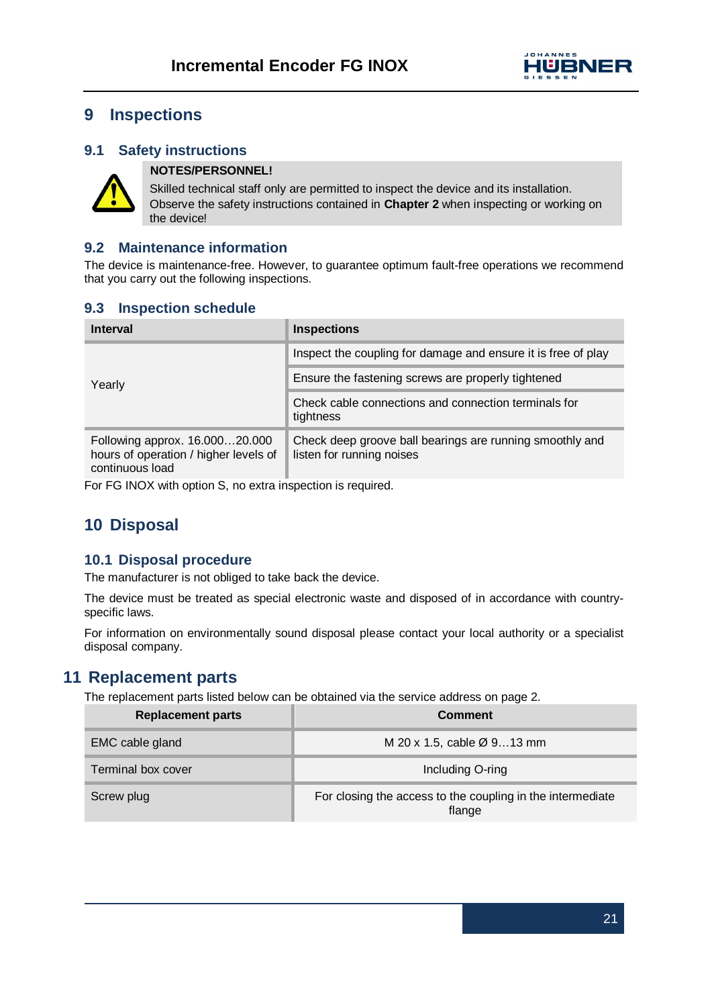

# **9 Inspections**

# **9.1 Safety instructions**



# **NOTES/PERSONNEL!**

Skilled technical staff only are permitted to inspect the device and its installation. Observe the safety instructions contained in **Chapter 2** when inspecting or working on the device!

# **9.2 Maintenance information**

The device is maintenance-free. However, to guarantee optimum fault-free operations we recommend that you carry out the following inspections.

# **9.3 Inspection schedule**

| Interval                                                                                   | <b>Inspections</b>                                                                    |
|--------------------------------------------------------------------------------------------|---------------------------------------------------------------------------------------|
| Yearly                                                                                     | Inspect the coupling for damage and ensure it is free of play                         |
|                                                                                            | Ensure the fastening screws are properly tightened                                    |
|                                                                                            | Check cable connections and connection terminals for<br>tightness                     |
| Following approx. 16.00020.000<br>hours of operation / higher levels of<br>continuous load | Check deep groove ball bearings are running smoothly and<br>listen for running noises |

For FG INOX with option S, no extra inspection is required.

# **10 Disposal**

## **10.1 Disposal procedure**

The manufacturer is not obliged to take back the device.

The device must be treated as special electronic waste and disposed of in accordance with countryspecific laws.

For information on environmentally sound disposal please contact your local authority or a specialist disposal company.

# **11 Replacement parts**

The replacement parts listed below can be obtained via the service address on page 2.

| <b>Replacement parts</b> | Comment                                                              |  |
|--------------------------|----------------------------------------------------------------------|--|
| EMC cable gland          | M 20 x 1.5, cable $\varnothing$ 913 mm                               |  |
| Terminal box cover       | Including O-ring                                                     |  |
| Screw plug               | For closing the access to the coupling in the intermediate<br>flange |  |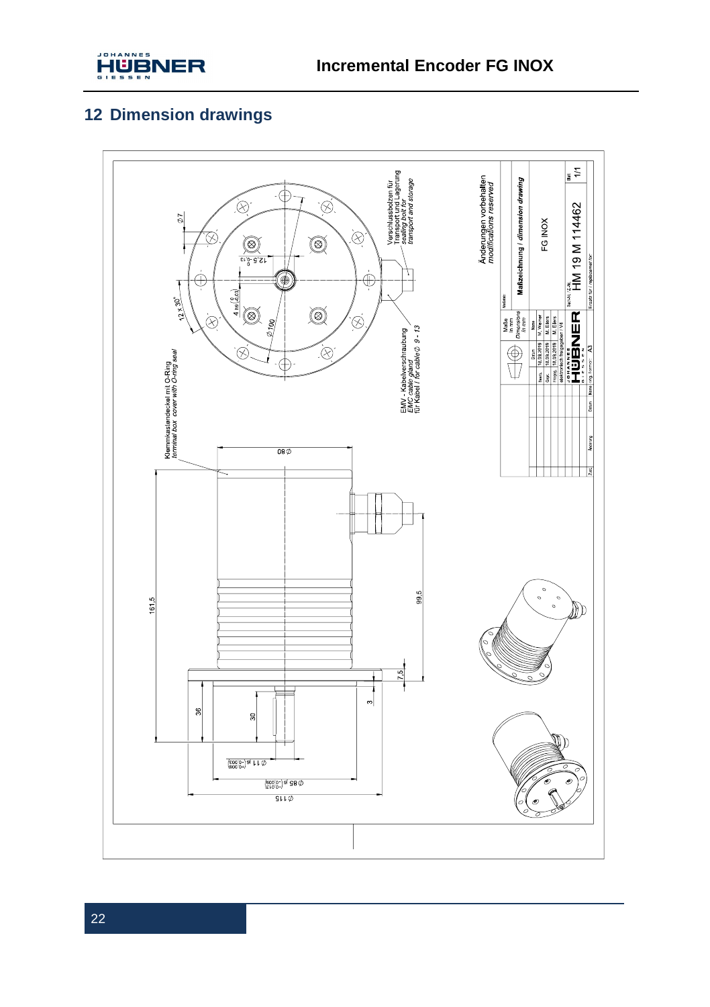

# **12 Dimension drawings**

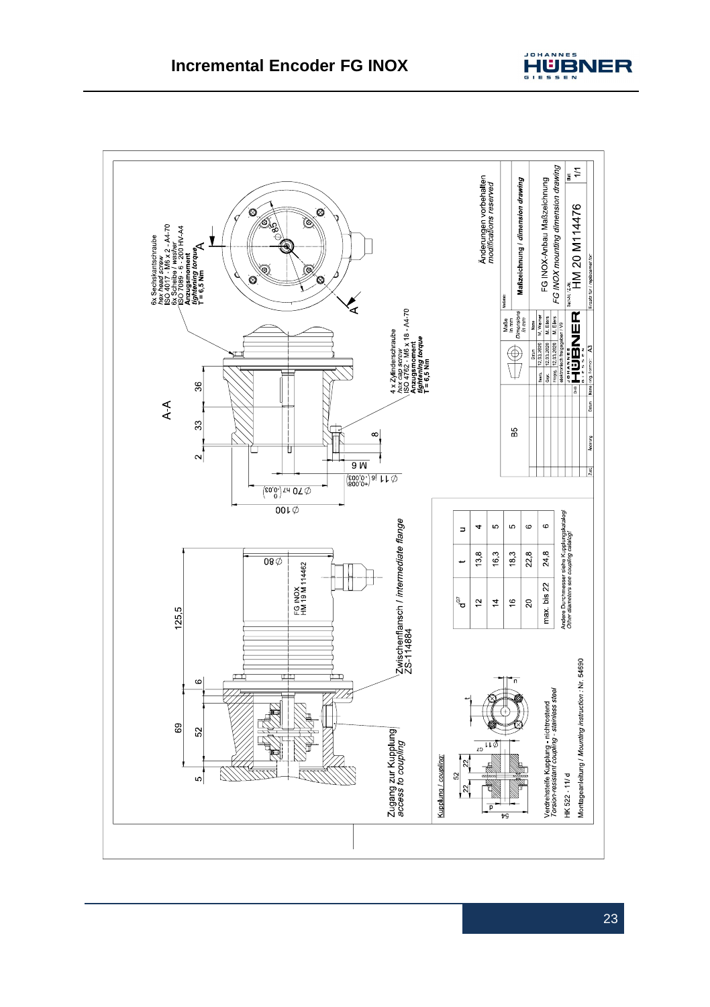

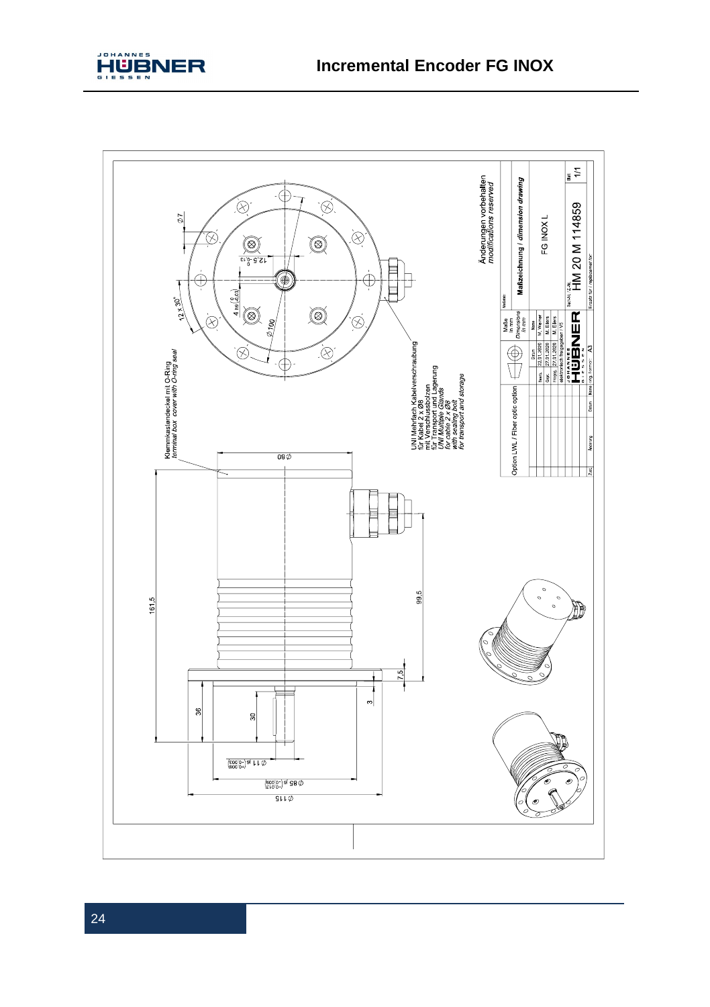

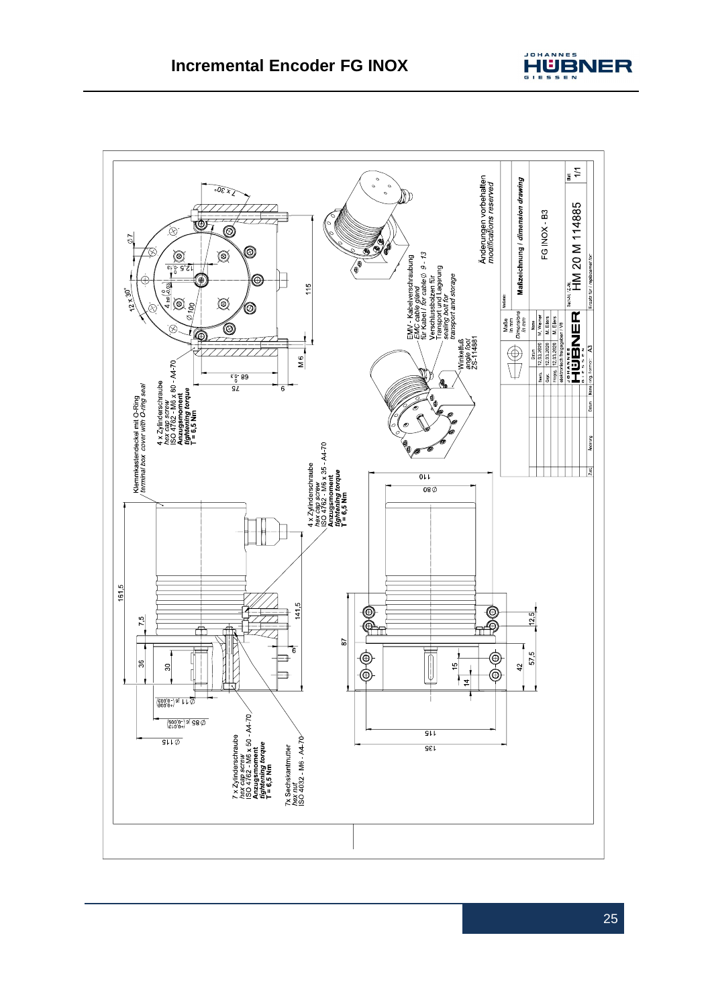